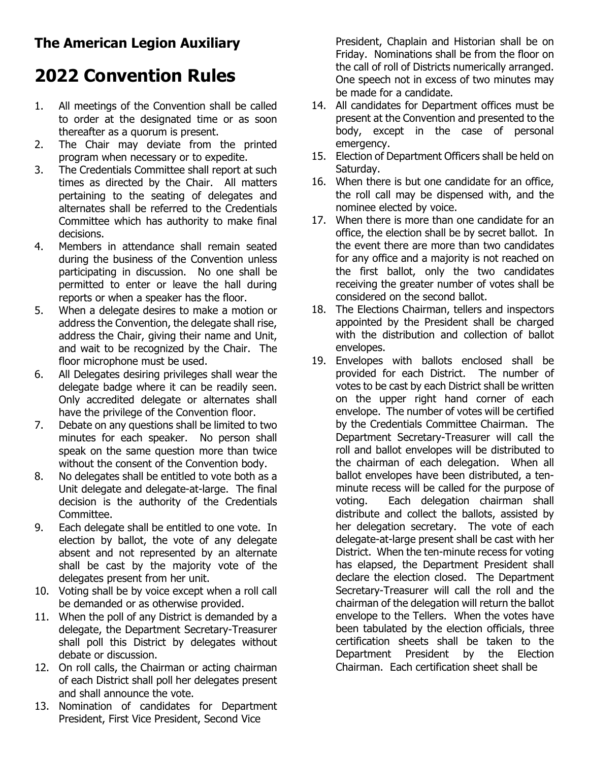## **The American Legion Auxiliary**

## **2022 Convention Rules**

- 1. All meetings of the Convention shall be called to order at the designated time or as soon thereafter as a quorum is present.
- 2. The Chair may deviate from the printed program when necessary or to expedite.
- 3. The Credentials Committee shall report at such times as directed by the Chair. All matters pertaining to the seating of delegates and alternates shall be referred to the Credentials Committee which has authority to make final decisions.
- 4. Members in attendance shall remain seated during the business of the Convention unless participating in discussion. No one shall be permitted to enter or leave the hall during reports or when a speaker has the floor.
- 5. When a delegate desires to make a motion or address the Convention, the delegate shall rise, address the Chair, giving their name and Unit, and wait to be recognized by the Chair. The floor microphone must be used.
- 6. All Delegates desiring privileges shall wear the delegate badge where it can be readily seen. Only accredited delegate or alternates shall have the privilege of the Convention floor.
- 7. Debate on any questions shall be limited to two minutes for each speaker. No person shall speak on the same question more than twice without the consent of the Convention body.
- 8. No delegates shall be entitled to vote both as a Unit delegate and delegate-at-large. The final decision is the authority of the Credentials Committee.
- 9. Each delegate shall be entitled to one vote. In election by ballot, the vote of any delegate absent and not represented by an alternate shall be cast by the majority vote of the delegates present from her unit.
- 10. Voting shall be by voice except when a roll call be demanded or as otherwise provided.
- 11. When the poll of any District is demanded by a delegate, the Department Secretary-Treasurer shall poll this District by delegates without debate or discussion.
- 12. On roll calls, the Chairman or acting chairman of each District shall poll her delegates present and shall announce the vote.
- 13. Nomination of candidates for Department President, First Vice President, Second Vice

President, Chaplain and Historian shall be on Friday. Nominations shall be from the floor on the call of roll of Districts numerically arranged. One speech not in excess of two minutes may be made for a candidate.

- 14. All candidates for Department offices must be present at the Convention and presented to the body, except in the case of personal emergency.
- 15. Election of Department Officers shall be held on Saturday.
- 16. When there is but one candidate for an office, the roll call may be dispensed with, and the nominee elected by voice.
- 17. When there is more than one candidate for an office, the election shall be by secret ballot. In the event there are more than two candidates for any office and a majority is not reached on the first ballot, only the two candidates receiving the greater number of votes shall be considered on the second ballot.
- 18. The Elections Chairman, tellers and inspectors appointed by the President shall be charged with the distribution and collection of ballot envelopes.
- 19. Envelopes with ballots enclosed shall be provided for each District. The number of votes to be cast by each District shall be written on the upper right hand corner of each envelope. The number of votes will be certified by the Credentials Committee Chairman. The Department Secretary-Treasurer will call the roll and ballot envelopes will be distributed to the chairman of each delegation. When all ballot envelopes have been distributed, a tenminute recess will be called for the purpose of voting. Each delegation chairman shall distribute and collect the ballots, assisted by her delegation secretary. The vote of each delegate-at-large present shall be cast with her District. When the ten-minute recess for voting has elapsed, the Department President shall declare the election closed. The Department Secretary-Treasurer will call the roll and the chairman of the delegation will return the ballot envelope to the Tellers. When the votes have been tabulated by the election officials, three certification sheets shall be taken to the Department President by the Election Chairman. Each certification sheet shall be